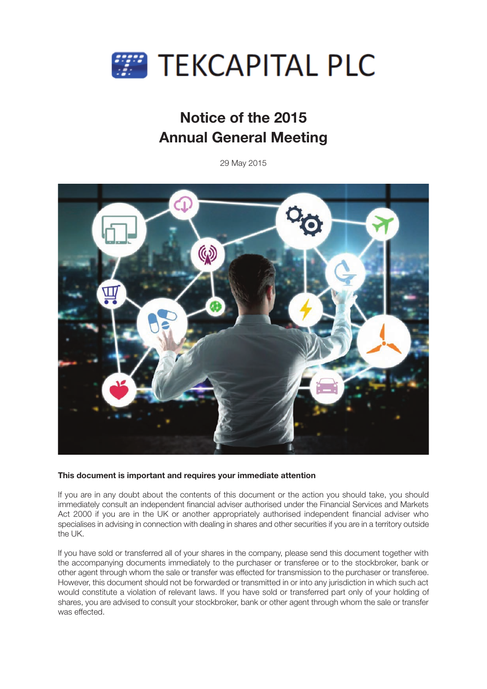

# **Notice of the 2015 Annual General Meeting**

29 May 2015



# **This document is important and requires your immediate attention**

If you are in any doubt about the contents of this document or the action you should take, you should immediately consult an independent financial adviser authorised under the Financial Services and Markets Act 2000 if you are in the UK or another appropriately authorised independent financial adviser who specialises in advising in connection with dealing in shares and other securities if you are in a territory outside the UK.

If you have sold or transferred all of your shares in the company, please send this document together with the accompanying documents immediately to the purchaser or transferee or to the stockbroker, bank or other agent through whom the sale or transfer was effected for transmission to the purchaser or transferee. However, this document should not be forwarded or transmitted in or into any jurisdiction in which such act would constitute a violation of relevant laws. If you have sold or transferred part only of your holding of shares, you are advised to consult your stockbroker, bank or other agent through whom the sale or transfer was effected.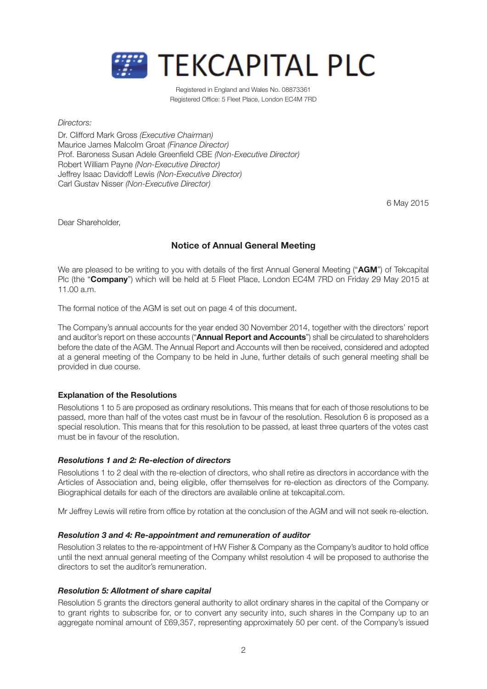

Registered in England and Wales No. 08873361 Registered Office: 5 Fleet Place, London EC4M 7RD

*Directors:*

Dr. Clifford Mark Gross *(Executive Chairman)* Maurice James Malcolm Groat *(Finance Director)* Prof. Baroness Susan Adele Greenfield CBE *(Non-Executive Director)* Robert William Payne *(Non-Executive Director)* Jeffrey Isaac Davidoff Lewis *(Non-Executive Director)* Carl Gustav Nisser *(Non-Executive Director)*

6 May 2015

Dear Shareholder,

# **Notice of Annual General Meeting**

We are pleased to be writing to you with details of the first Annual General Meeting ("**AGM**") of Tekcapital Plc (the "**Company**") which will be held at 5 Fleet Place, London EC4M 7RD on Friday 29 May 2015 at 11.00 a.m.

The formal notice of the AGM is set out on page 4 of this document.

The Company's annual accounts for the year ended 30 November 2014, together with the directors' report and auditor's report on these accounts ("**Annual Report and Accounts**") shall be circulated to shareholders before the date of the AGM. The Annual Report and Accounts will then be received, considered and adopted at a general meeting of the Company to be held in June, further details of such general meeting shall be provided in due course.

# **Explanation of the Resolutions**

Resolutions 1 to 5 are proposed as ordinary resolutions. This means that for each of those resolutions to be passed, more than half of the votes cast must be in favour of the resolution. Resolution 6 is proposed as a special resolution. This means that for this resolution to be passed, at least three quarters of the votes cast must be in favour of the resolution.

# *Resolutions 1 and 2: Re-election of directors*

Resolutions 1 to 2 deal with the re-election of directors, who shall retire as directors in accordance with the Articles of Association and, being eligible, offer themselves for re-election as directors of the Company. Biographical details for each of the directors are available online at tekcapital.com.

Mr Jeffrey Lewis will retire from office by rotation at the conclusion of the AGM and will not seek re-election.

# *Resolution 3 and 4: Re-appointment and remuneration of auditor*

Resolution 3 relates to the re-appointment of HW Fisher & Company as the Company's auditor to hold office until the next annual general meeting of the Company whilst resolution 4 will be proposed to authorise the directors to set the auditor's remuneration.

# *Resolution 5: Allotment of share capital*

Resolution 5 grants the directors general authority to allot ordinary shares in the capital of the Company or to grant rights to subscribe for, or to convert any security into, such shares in the Company up to an aggregate nominal amount of £69,357, representing approximately 50 per cent. of the Company's issued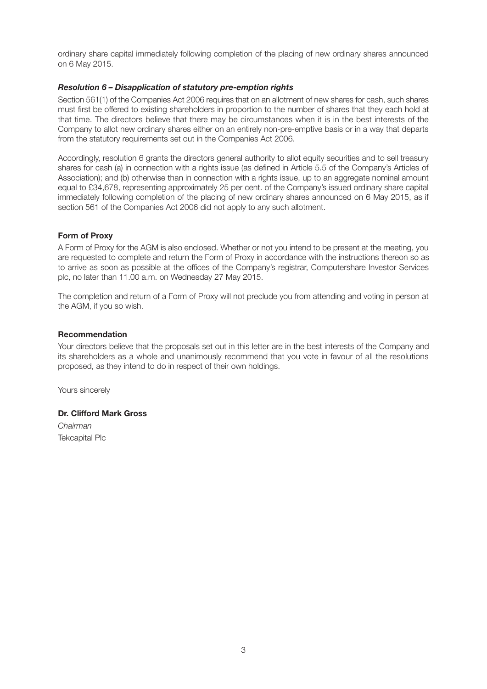ordinary share capital immediately following completion of the placing of new ordinary shares announced on 6 May 2015.

# *Resolution 6 – Disapplication of statutory pre-emption rights*

Section 561(1) of the Companies Act 2006 requires that on an allotment of new shares for cash, such shares must first be offered to existing shareholders in proportion to the number of shares that they each hold at that time. The directors believe that there may be circumstances when it is in the best interests of the Company to allot new ordinary shares either on an entirely non-pre-emptive basis or in a way that departs from the statutory requirements set out in the Companies Act 2006.

Accordingly, resolution 6 grants the directors general authority to allot equity securities and to sell treasury shares for cash (a) in connection with a rights issue (as defined in Article 5.5 of the Company's Articles of Association); and (b) otherwise than in connection with a rights issue, up to an aggregate nominal amount equal to £34,678, representing approximately 25 per cent. of the Company's issued ordinary share capital immediately following completion of the placing of new ordinary shares announced on 6 May 2015, as if section 561 of the Companies Act 2006 did not apply to any such allotment.

# **Form of Proxy**

A Form of Proxy for the AGM is also enclosed. Whether or not you intend to be present at the meeting, you are requested to complete and return the Form of Proxy in accordance with the instructions thereon so as to arrive as soon as possible at the offices of the Company's registrar, Computershare Investor Services plc, no later than 11.00 a.m. on Wednesday 27 May 2015.

The completion and return of a Form of Proxy will not preclude you from attending and voting in person at the AGM, if you so wish.

#### **Recommendation**

Your directors believe that the proposals set out in this letter are in the best interests of the Company and its shareholders as a whole and unanimously recommend that you vote in favour of all the resolutions proposed, as they intend to do in respect of their own holdings.

Yours sincerely

# **Dr. Clifford Mark Gross**

*Chairman* Tekcapital Plc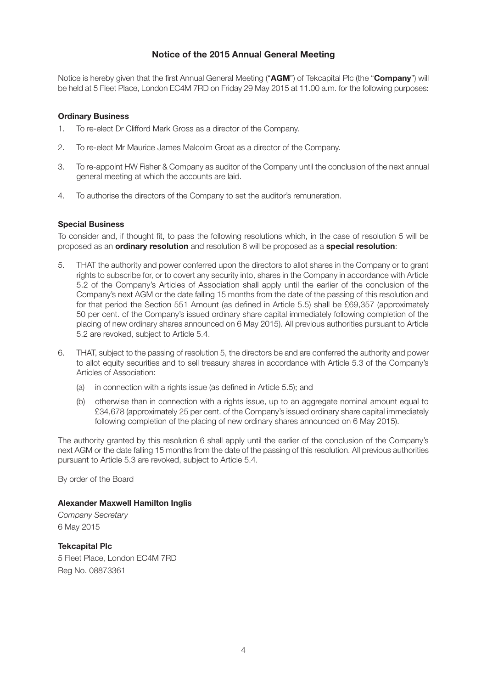# **Notice of the 2015 Annual General Meeting**

Notice is hereby given that the first Annual General Meeting ("**AGM**") of Tekcapital Plc (the "**Company**") will be held at 5 Fleet Place, London EC4M 7RD on Friday 29 May 2015 at 11.00 a.m. for the following purposes:

# **Ordinary Business**

- 1. To re-elect Dr Clifford Mark Gross as a director of the Company.
- 2. To re-elect Mr Maurice James Malcolm Groat as a director of the Company.
- 3. To re-appoint HW Fisher & Company as auditor of the Company until the conclusion of the next annual general meeting at which the accounts are laid.
- 4. To authorise the directors of the Company to set the auditor's remuneration.

# **Special Business**

To consider and, if thought fit, to pass the following resolutions which, in the case of resolution 5 will be proposed as an **ordinary resolution** and resolution 6 will be proposed as a **special resolution**:

- 5. THAT the authority and power conferred upon the directors to allot shares in the Company or to grant rights to subscribe for, or to covert any security into, shares in the Company in accordance with Article 5.2 of the Company's Articles of Association shall apply until the earlier of the conclusion of the Company's next AGM or the date falling 15 months from the date of the passing of this resolution and for that period the Section 551 Amount (as defined in Article 5.5) shall be £69,357 (approximately 50 per cent. of the Company's issued ordinary share capital immediately following completion of the placing of new ordinary shares announced on 6 May 2015). All previous authorities pursuant to Article 5.2 are revoked, subject to Article 5.4.
- 6. THAT, subject to the passing of resolution 5, the directors be and are conferred the authority and power to allot equity securities and to sell treasury shares in accordance with Article 5.3 of the Company's Articles of Association:
	- (a) in connection with a rights issue (as defined in Article 5.5); and
	- (b) otherwise than in connection with a rights issue, up to an aggregate nominal amount equal to £34,678 (approximately 25 per cent. of the Company's issued ordinary share capital immediately following completion of the placing of new ordinary shares announced on 6 May 2015).

The authority granted by this resolution 6 shall apply until the earlier of the conclusion of the Company's next AGM or the date falling 15 months from the date of the passing of this resolution. All previous authorities pursuant to Article 5.3 are revoked, subject to Article 5.4.

By order of the Board

# **Alexander Maxwell Hamilton Inglis**

*Company Secretary* 6 May 2015

**Tekcapital Plc** 5 Fleet Place, London EC4M 7RD Reg No. 08873361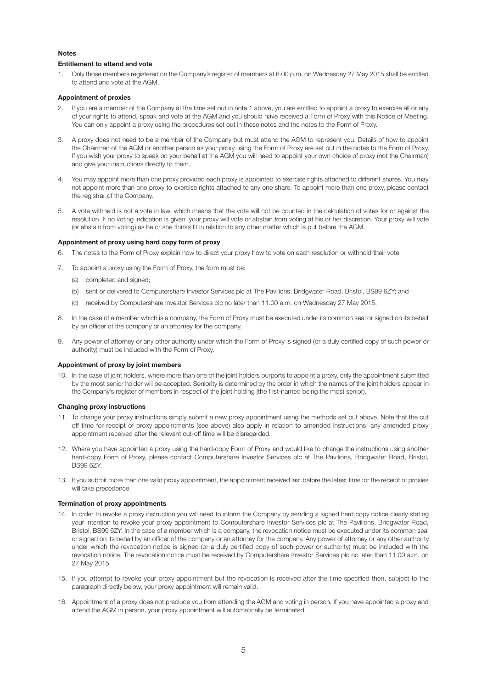#### **Notes**

#### **Entitlement to attend and vote**

1. Only those members registered on the Company's register of members at 6.00 p.m. on Wednesday 27 May 2015 shall be entitled to attend and vote at the AGM.

#### **Appointment of proxies**

- If you are a member of the Company at the time set out in note 1 above, you are entitled to appoint a proxy to exercise all or any of your rights to attend, speak and vote at the AGM and you should have received a Form of Proxy with this Notice of Meeting. You can only appoint a proxy using the procedures set out in these notes and the notes to the Form of Proxy.
- 3. A proxy does not need to be a member of the Company but must attend the AGM to represent you. Details of how to appoint the Chairman of the AGM or another person as your proxy using the Form of Proxy are set out in the notes to the Form of Proxy. If you wish your proxy to speak on your behalf at the AGM you will need to appoint your own choice of proxy (not the Chairman) and give your instructions directly to them.
- 4. You may appoint more than one proxy provided each proxy is appointed to exercise rights attached to different shares. You may not appoint more than one proxy to exercise rights attached to any one share. To appoint more than one proxy, please contact the registrar of the Company.
- 5. A vote withheld is not a vote in law, which means that the vote will not be counted in the calculation of votes for or against the resolution. If no voting indication is given, your proxy will vote or abstain from voting at his or her discretion. Your proxy will vote (or abstain from voting) as he or she thinks fit in relation to any other matter which is put before the AGM.

#### **Appointment of proxy using hard copy form of proxy**

- 6. The notes to the Form of Proxy explain how to direct your proxy how to vote on each resolution or withhold their vote.
- 7. To appoint a proxy using the Form of Proxy, the form must be:
	- (a) completed and signed;
	- (b) sent or delivered to Computershare Investor Services plc at The Pavilions, Bridgwater Road, Bristol, BS99 6ZY; and
	- (c) received by Computershare Investor Services plc no later than 11.00 a.m. on Wednesday 27 May 2015.
- 8. In the case of a member which is a company, the Form of Proxy must be executed under its common seal or signed on its behalf by an officer of the company or an attorney for the company.
- 9. Any power of attorney or any other authority under which the Form of Proxy is signed (or a duly certified copy of such power or authority) must be included with the Form of Proxy.

#### **Appointment of proxy by joint members**

10. In the case of joint holders, where more than one of the joint holders purports to appoint a proxy, only the appointment submitted by the most senior holder will be accepted. Seniority is determined by the order in which the names of the joint holders appear in the Company's register of members in respect of the joint holding (the first-named being the most senior).

#### **Changing proxy instructions**

- 11. To change your proxy instructions simply submit a new proxy appointment using the methods set out above. Note that the cut off time for receipt of proxy appointments (see above) also apply in relation to amended instructions; any amended proxy appointment received after the relevant cut-off time will be disregarded.
- 12. Where you have appointed a proxy using the hard-copy Form of Proxy and would like to change the instructions using another hard-copy Form of Proxy, please contact Computershare Investor Services plc at The Pavilions, Bridgwater Road, Bristol, BS99 6ZY.
- 13. If you submit more than one valid proxy appointment, the appointment received last before the latest time for the receipt of proxies will take precedence.

#### **Termination of proxy appointments**

- 14. In order to revoke a proxy instruction you will need to inform the Company by sending a signed hard copy notice clearly stating your intention to revoke your proxy appointment to Computershare Investor Services plc at The Pavilions, Bridgwater Road, Bristol, BS99 6ZY. In the case of a member which is a company, the revocation notice must be executed under its common seal or signed on its behalf by an officer of the company or an attorney for the company. Any power of attorney or any other authority under which the revocation notice is signed (or a duly certified copy of such power or authority) must be included with the revocation notice. The revocation notice must be received by Computershare Investor Services plc no later than 11.00 a.m. on 27 May 2015.
- 15. If you attempt to revoke your proxy appointment but the revocation is received after the time specified then, subject to the paragraph directly below, your proxy appointment will remain valid.
- 16. Appointment of a proxy does not preclude you from attending the AGM and voting in person. If you have appointed a proxy and attend the AGM in person, your proxy appointment will automatically be terminated.